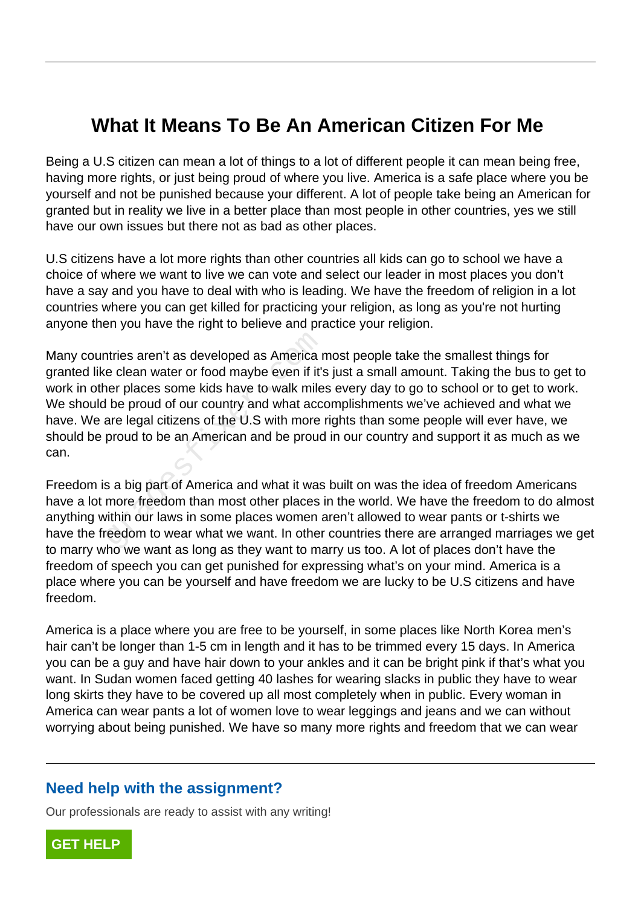## **What It Means To Be An American Citizen For Me**

Being a U.S citizen can mean a lot of things to a lot of different people it can mean being free, having more rights, or just being proud of where you live. America is a safe place where you be yourself and not be punished because your different. A lot of people take being an American for granted but in reality we live in a better place than most people in other countries, yes we still have our own issues but there not as bad as other places.

U.S citizens have a lot more rights than other countries all kids can go to school we have a choice of where we want to live we can vote and select our leader in most places you don't have a say and you have to deal with who is leading. We have the freedom of religion in a lot countries where you can get killed for practicing your religion, as long as you're not hurting anyone then you have the right to believe and practice your religion.

Many countries aren't as developed as America most people take the smallest things for granted like clean water or food maybe even if it's just a small amount. Taking the bus to get to work in other places some kids have to walk miles every day to go to school or to get to work. We should be proud of our country and what accomplishments we've achieved and what we have. We are legal citizens of the U.S with more rights than some people will ever have, we should be proud to be an American and be proud in our country and support it as much as we can. ntries aren't as developed as America r<br>e clean water or food maybe even if it's<br>ner places some kids have to walk mile<br>l be proud of our country and what accare legal citizens of the U.S with more<br>proud to be an American

Freedom is a big part of America and what it was built on was the idea of freedom Americans have a lot more freedom than most other places in the world. We have the freedom to do almost anything within our laws in some places women aren't allowed to wear pants or t-shirts we have the freedom to wear what we want. In other countries there are arranged marriages we get to marry who we want as long as they want to marry us too. A lot of places don't have the freedom of speech you can get punished for expressing what's on your mind. America is a place where you can be yourself and have freedom we are lucky to be U.S citizens and have freedom.

America is a place where you are free to be yourself, in some places like North Korea men's hair can't be longer than 1-5 cm in length and it has to be trimmed every 15 days. In America you can be a guy and have hair down to your ankles and it can be bright pink if that's what you want. In Sudan women faced getting 40 lashes for wearing slacks in public they have to wear long skirts they have to be covered up all most completely when in public. Every woman in America can wear pants a lot of women love to wear leggings and jeans and we can without worrying about being punished. We have so many more rights and freedom that we can wear

## **Need help with the assignment?**

Our professionals are ready to assist with any writing!